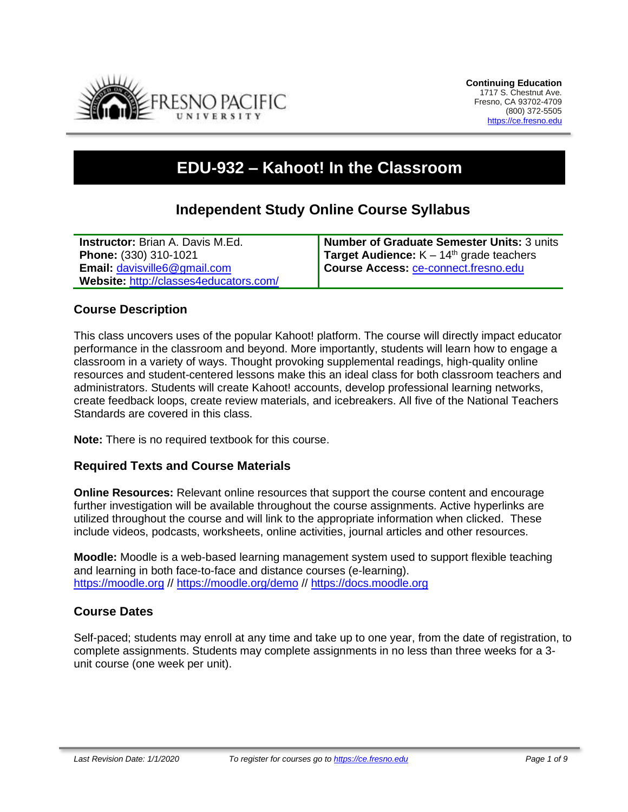

# **EDU-932 – Kahoot! In the Classroom**

# **Independent Study Online Course Syllabus**

| <b>Instructor:</b> Brian A. Davis M.Ed. | <b>Number of Graduate Semester Units: 3 units</b> |
|-----------------------------------------|---------------------------------------------------|
| Phone: (330) 310-1021                   | <b>Target Audience:</b> $K - 14th$ grade teachers |
| <b>Email: davisville6@gmail.com</b>     | Course Access: ce-connect.fresno.edu              |
| Website: http://classes4educators.com/  |                                                   |

#### **Course Description**

This class uncovers uses of the popular Kahoot! platform. The course will directly impact educator performance in the classroom and beyond. More importantly, students will learn how to engage a classroom in a variety of ways. Thought provoking supplemental readings, high-quality online resources and student-centered lessons make this an ideal class for both classroom teachers and administrators. Students will create Kahoot! accounts, develop professional learning networks, create feedback loops, create review materials, and icebreakers. All five of the National Teachers Standards are covered in this class.

**Note:** There is no required textbook for this course.

#### **Required Texts and Course Materials**

**Online Resources:** Relevant online resources that support the course content and encourage further investigation will be available throughout the course assignments. Active hyperlinks are utilized throughout the course and will link to the appropriate information when clicked. These include videos, podcasts, worksheets, online activities, journal articles and other resources.

**Moodle:** Moodle is a web-based learning management system used to support flexible teaching and learning in both face-to-face and distance courses (e-learning). [https://moodle.org](https://moodle.org/) // <https://moodle.org/demo> // [https://docs.moodle.org](https://docs.moodle.org/)

#### **Course Dates**

Self-paced; students may enroll at any time and take up to one year, from the date of registration, to complete assignments. Students may complete assignments in no less than three weeks for a 3 unit course (one week per unit).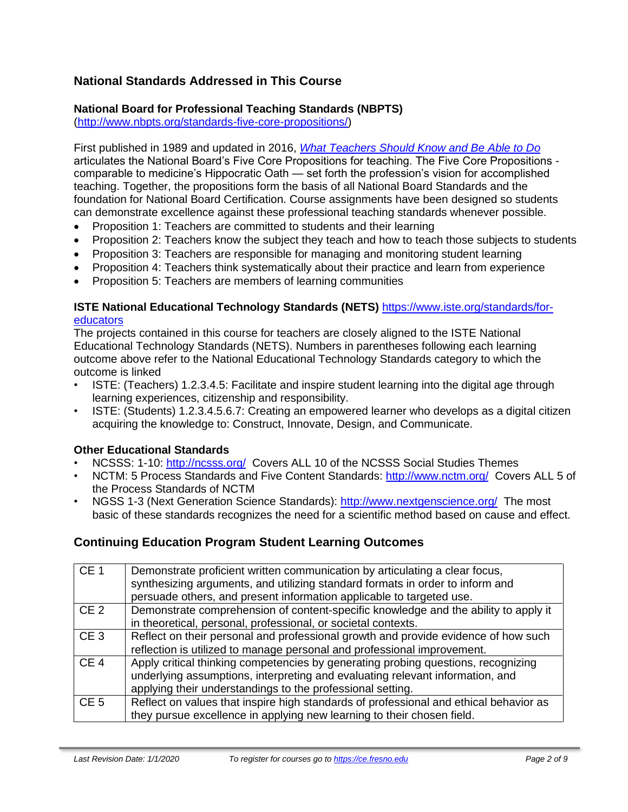# **National Standards Addressed in This Course**

# **National Board for Professional Teaching Standards (NBPTS)**

[\(http://www.nbpts.org/standards-five-core-propositions/\)](http://www.nbpts.org/standards-five-core-propositions/)

First published in 1989 and updated in 2016, *[What Teachers Should Know and Be Able to Do](http://www.accomplishedteacher.org/)* articulates the National Board's Five Core Propositions for teaching. The Five Core Propositions comparable to medicine's Hippocratic Oath — set forth the profession's vision for accomplished teaching. Together, the propositions form the basis of all National Board Standards and the foundation for National Board Certification. Course assignments have been designed so students can demonstrate excellence against these professional teaching standards whenever possible.

- Proposition 1: Teachers are committed to students and their learning
- Proposition 2: Teachers know the subject they teach and how to teach those subjects to students
- Proposition 3: Teachers are responsible for managing and monitoring student learning
- Proposition 4: Teachers think systematically about their practice and learn from experience
- Proposition 5: Teachers are members of learning communities

#### **ISTE National Educational Technology Standards (NETS)** [https://www.iste.org/standards/for](https://www.iste.org/standards/for-educators)[educators](https://www.iste.org/standards/for-educators)

The projects contained in this course for teachers are closely aligned to the ISTE National Educational Technology Standards (NETS). Numbers in parentheses following each learning outcome above refer to the National Educational Technology Standards category to which the outcome is linked

- ISTE: (Teachers) 1.2.3.4.5: Facilitate and inspire student learning into the digital age through learning experiences, citizenship and responsibility.
- ISTE: (Students) 1.2.3.4.5.6.7: Creating an empowered learner who develops as a digital citizen acquiring the knowledge to: Construct, Innovate, Design, and Communicate.

#### **Other Educational Standards**

- NCSSS: 1-10:<http://ncsss.org/> Covers ALL 10 of the NCSSS Social Studies Themes
- NCTM: 5 Process Standards and Five Content Standards:<http://www.nctm.org/> Covers ALL 5 of the Process Standards of NCTM
- NGSS 1-3 (Next Generation Science Standards):<http://www.nextgenscience.org/> The most basic of these standards recognizes the need for a scientific method based on cause and effect.

# **Continuing Education Program Student Learning Outcomes**

| CE <sub>1</sub> | Demonstrate proficient written communication by articulating a clear focus,<br>synthesizing arguments, and utilizing standard formats in order to inform and<br>persuade others, and present information applicable to targeted use. |
|-----------------|--------------------------------------------------------------------------------------------------------------------------------------------------------------------------------------------------------------------------------------|
| CE <sub>2</sub> | Demonstrate comprehension of content-specific knowledge and the ability to apply it<br>in theoretical, personal, professional, or societal contexts.                                                                                 |
| CE <sub>3</sub> | Reflect on their personal and professional growth and provide evidence of how such<br>reflection is utilized to manage personal and professional improvement.                                                                        |
| CE <sub>4</sub> | Apply critical thinking competencies by generating probing questions, recognizing<br>underlying assumptions, interpreting and evaluating relevant information, and<br>applying their understandings to the professional setting.     |
| CE <sub>5</sub> | Reflect on values that inspire high standards of professional and ethical behavior as<br>they pursue excellence in applying new learning to their chosen field.                                                                      |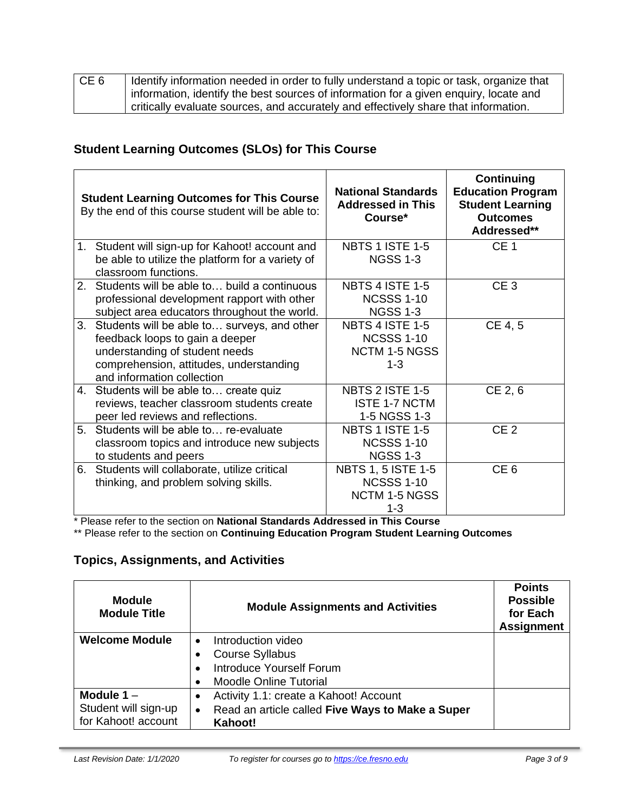| CE <sub>6</sub> | Identify information needed in order to fully understand a topic or task, organize that |
|-----------------|-----------------------------------------------------------------------------------------|
|                 | information, identify the best sources of information for a given enquiry, locate and   |
|                 | critically evaluate sources, and accurately and effectively share that information.     |

# **Student Learning Outcomes (SLOs) for This Course**

|    | <b>Student Learning Outcomes for This Course</b><br>By the end of this course student will be able to: | <b>National Standards</b><br><b>Addressed in This</b><br>Course* | <b>Continuing</b><br><b>Education Program</b><br><b>Student Learning</b><br><b>Outcomes</b><br>Addressed** |
|----|--------------------------------------------------------------------------------------------------------|------------------------------------------------------------------|------------------------------------------------------------------------------------------------------------|
|    | 1. Student will sign-up for Kahoot! account and                                                        | <b>NBTS 1 ISTE 1-5</b>                                           | CE <sub>1</sub>                                                                                            |
|    | be able to utilize the platform for a variety of                                                       | <b>NGSS 1-3</b>                                                  |                                                                                                            |
|    | classroom functions.                                                                                   |                                                                  |                                                                                                            |
| 2. | Students will be able to build a continuous                                                            | <b>NBTS 4 ISTE 1-5</b>                                           | CE <sub>3</sub>                                                                                            |
|    | professional development rapport with other                                                            | <b>NCSSS 1-10</b>                                                |                                                                                                            |
|    | subject area educators throughout the world.                                                           | <b>NGSS 1-3</b>                                                  |                                                                                                            |
| 3. | Students will be able to surveys, and other                                                            | <b>NBTS 4 ISTE 1-5</b>                                           | CE 4, 5                                                                                                    |
|    | feedback loops to gain a deeper                                                                        | <b>NCSSS 1-10</b>                                                |                                                                                                            |
|    | understanding of student needs                                                                         | <b>NCTM 1-5 NGSS</b>                                             |                                                                                                            |
|    | comprehension, attitudes, understanding                                                                | $1 - 3$                                                          |                                                                                                            |
|    | and information collection                                                                             |                                                                  |                                                                                                            |
|    | 4. Students will be able to create quiz                                                                | <b>NBTS 2 ISTE 1-5</b>                                           | CE 2, 6                                                                                                    |
|    | reviews, teacher classroom students create                                                             | <b>ISTE 1-7 NCTM</b>                                             |                                                                                                            |
|    | peer led reviews and reflections.                                                                      | 1-5 NGSS 1-3                                                     |                                                                                                            |
| 5. | Students will be able to re-evaluate                                                                   | <b>NBTS 1 ISTE 1-5</b>                                           | CE <sub>2</sub>                                                                                            |
|    | classroom topics and introduce new subjects                                                            | <b>NCSSS 1-10</b>                                                |                                                                                                            |
|    | to students and peers                                                                                  | <b>NGSS 1-3</b>                                                  |                                                                                                            |
| 6. | Students will collaborate, utilize critical                                                            | <b>NBTS 1, 5 ISTE 1-5</b>                                        | CE <sub>6</sub>                                                                                            |
|    | thinking, and problem solving skills.                                                                  | <b>NCSSS 1-10</b>                                                |                                                                                                            |
|    |                                                                                                        | <b>NCTM 1-5 NGSS</b>                                             |                                                                                                            |
|    |                                                                                                        | $1 - 3$                                                          |                                                                                                            |

\* Please refer to the section on **National Standards Addressed in This Course**

\*\* Please refer to the section on **Continuing Education Program Student Learning Outcomes**

# **Topics, Assignments, and Activities**

| <b>Module</b><br><b>Module Title</b>                        | <b>Module Assignments and Activities</b>                                                                                | <b>Points</b><br><b>Possible</b><br>for Each<br><b>Assignment</b> |
|-------------------------------------------------------------|-------------------------------------------------------------------------------------------------------------------------|-------------------------------------------------------------------|
| <b>Welcome Module</b>                                       | Introduction video<br>$\bullet$<br><b>Course Syllabus</b><br>Introduce Yourself Forum<br><b>Moodle Online Tutorial</b>  |                                                                   |
| Module $1 -$<br>Student will sign-up<br>for Kahoot! account | Activity 1.1: create a Kahoot! Account<br>٠<br>Read an article called Five Ways to Make a Super<br>$\bullet$<br>Kahoot! |                                                                   |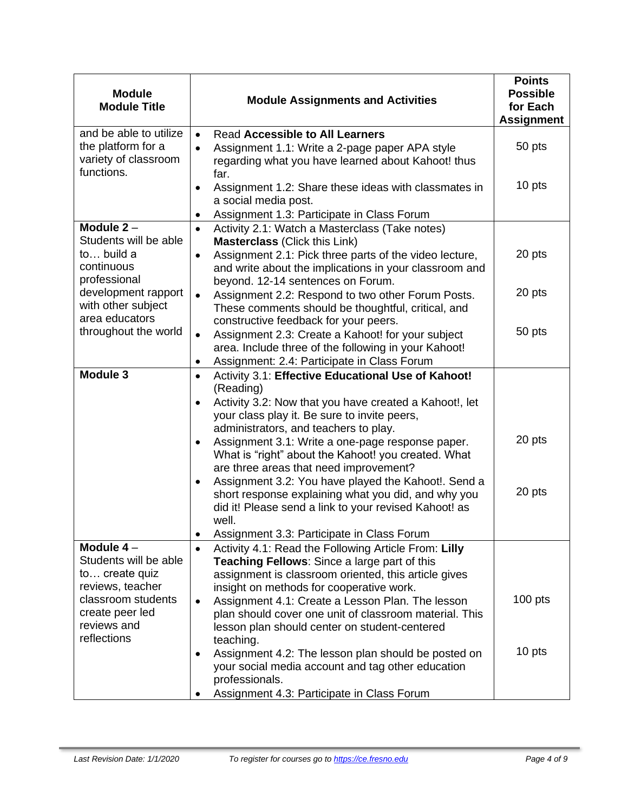| <b>Module</b><br><b>Module Title</b>                                               | <b>Module Assignments and Activities</b>                                                                                                                                                                                                                                                                                                                                                                                                                                           | <b>Points</b><br><b>Possible</b><br>for Each<br><b>Assignment</b> |
|------------------------------------------------------------------------------------|------------------------------------------------------------------------------------------------------------------------------------------------------------------------------------------------------------------------------------------------------------------------------------------------------------------------------------------------------------------------------------------------------------------------------------------------------------------------------------|-------------------------------------------------------------------|
| and be able to utilize<br>the platform for a<br>variety of classroom<br>functions. | <b>Read Accessible to All Learners</b><br>$\bullet$<br>Assignment 1.1: Write a 2-page paper APA style<br>regarding what you have learned about Kahoot! thus<br>far.                                                                                                                                                                                                                                                                                                                | 50 pts                                                            |
|                                                                                    | Assignment 1.2: Share these ideas with classmates in<br>$\bullet$<br>a social media post.<br>Assignment 1.3: Participate in Class Forum                                                                                                                                                                                                                                                                                                                                            | 10 pts                                                            |
| Module $2 -$                                                                       | Activity 2.1: Watch a Masterclass (Take notes)                                                                                                                                                                                                                                                                                                                                                                                                                                     |                                                                   |
| Students will be able<br>to build a<br>continuous<br>professional                  | <b>Masterclass (Click this Link)</b><br>Assignment 2.1: Pick three parts of the video lecture,<br>$\bullet$<br>and write about the implications in your classroom and                                                                                                                                                                                                                                                                                                              | 20 pts                                                            |
| development rapport<br>with other subject<br>area educators                        | beyond. 12-14 sentences on Forum.<br>Assignment 2.2: Respond to two other Forum Posts.<br>$\bullet$<br>These comments should be thoughtful, critical, and                                                                                                                                                                                                                                                                                                                          | 20 pts                                                            |
| throughout the world                                                               | constructive feedback for your peers.<br>Assignment 2.3: Create a Kahoot! for your subject<br>$\bullet$<br>area. Include three of the following in your Kahoot!<br>Assignment: 2.4: Participate in Class Forum<br>٠                                                                                                                                                                                                                                                                | 50 pts                                                            |
| <b>Module 3</b>                                                                    | Activity 3.1: Effective Educational Use of Kahoot!<br>$\bullet$<br>(Reading)<br>Activity 3.2: Now that you have created a Kahoot!, let<br>$\bullet$<br>your class play it. Be sure to invite peers,<br>administrators, and teachers to play.<br>Assignment 3.1: Write a one-page response paper.<br>$\bullet$<br>What is "right" about the Kahoot! you created. What<br>are three areas that need improvement?<br>Assignment 3.2: You have played the Kahoot!. Send a<br>$\bullet$ | 20 pts<br>20 pts                                                  |
|                                                                                    | short response explaining what you did, and why you<br>did it! Please send a link to your revised Kahoot! as<br>well.<br>Assignment 3.3: Participate in Class Forum                                                                                                                                                                                                                                                                                                                |                                                                   |
| Module $4-$<br>Students will be able<br>to create quiz<br>reviews, teacher         | Activity 4.1: Read the Following Article From: Lilly<br>$\bullet$<br><b>Teaching Fellows:</b> Since a large part of this<br>assignment is classroom oriented, this article gives<br>insight on methods for cooperative work.                                                                                                                                                                                                                                                       |                                                                   |
| classroom students<br>create peer led<br>reviews and<br>reflections                | Assignment 4.1: Create a Lesson Plan. The lesson<br>$\bullet$<br>plan should cover one unit of classroom material. This<br>lesson plan should center on student-centered<br>teaching.                                                                                                                                                                                                                                                                                              | $100$ pts                                                         |
|                                                                                    | Assignment 4.2: The lesson plan should be posted on<br>$\bullet$<br>your social media account and tag other education<br>professionals.<br>Assignment 4.3: Participate in Class Forum                                                                                                                                                                                                                                                                                              | 10 pts                                                            |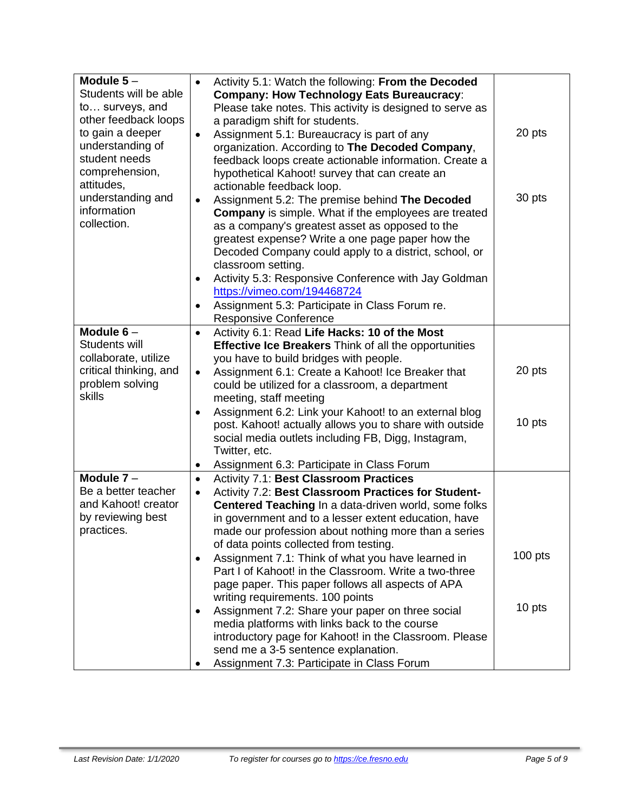| Module $5-$<br>Students will be able<br>to surveys, and<br>other feedback loops<br>to gain a deeper<br>understanding of<br>student needs<br>comprehension,<br>attitudes, | a paradigm shift for students.<br>actionable feedback loop.                       | Activity 5.1: Watch the following: From the Decoded<br><b>Company: How Technology Eats Bureaucracy:</b><br>Please take notes. This activity is designed to serve as<br>Assignment 5.1: Bureaucracy is part of any<br>organization. According to The Decoded Company,<br>feedback loops create actionable information. Create a<br>hypothetical Kahoot! survey that can create an        | 20 pts    |
|--------------------------------------------------------------------------------------------------------------------------------------------------------------------------|-----------------------------------------------------------------------------------|-----------------------------------------------------------------------------------------------------------------------------------------------------------------------------------------------------------------------------------------------------------------------------------------------------------------------------------------------------------------------------------------|-----------|
| understanding and<br>information<br>collection.                                                                                                                          | classroom setting.<br>https://vimeo.com/194468724<br><b>Responsive Conference</b> | Assignment 5.2: The premise behind The Decoded<br><b>Company</b> is simple. What if the employees are treated<br>as a company's greatest asset as opposed to the<br>greatest expense? Write a one page paper how the<br>Decoded Company could apply to a district, school, or<br>Activity 5.3: Responsive Conference with Jay Goldman<br>Assignment 5.3: Participate in Class Forum re. | 30 pts    |
| Module $6-$                                                                                                                                                              |                                                                                   | Activity 6.1: Read Life Hacks: 10 of the Most                                                                                                                                                                                                                                                                                                                                           |           |
| Students will<br>collaborate, utilize                                                                                                                                    |                                                                                   | <b>Effective Ice Breakers Think of all the opportunities</b><br>you have to build bridges with people.                                                                                                                                                                                                                                                                                  |           |
| critical thinking, and<br>problem solving<br>skills                                                                                                                      | meeting, staff meeting                                                            | Assignment 6.1: Create a Kahoot! Ice Breaker that<br>could be utilized for a classroom, a department                                                                                                                                                                                                                                                                                    | 20 pts    |
|                                                                                                                                                                          | Twitter, etc.                                                                     | Assignment 6.2: Link your Kahoot! to an external blog<br>post. Kahoot! actually allows you to share with outside<br>social media outlets including FB, Digg, Instagram,                                                                                                                                                                                                                 | 10 pts    |
|                                                                                                                                                                          |                                                                                   | Assignment 6.3: Participate in Class Forum                                                                                                                                                                                                                                                                                                                                              |           |
| Module $7-$<br>Be a better teacher                                                                                                                                       |                                                                                   | <b>Activity 7.1: Best Classroom Practices</b><br>Activity 7.2: Best Classroom Practices for Student-                                                                                                                                                                                                                                                                                    |           |
| and Kahoot! creator<br>by reviewing best<br>practices.                                                                                                                   |                                                                                   | Centered Teaching In a data-driven world, some folks<br>in government and to a lesser extent education, have<br>made our profession about nothing more than a series<br>of data points collected from testing.                                                                                                                                                                          |           |
|                                                                                                                                                                          | writing requirements. 100 points                                                  | Assignment 7.1: Think of what you have learned in<br>Part I of Kahoot! in the Classroom. Write a two-three<br>page paper. This paper follows all aspects of APA                                                                                                                                                                                                                         | $100$ pts |
|                                                                                                                                                                          |                                                                                   | Assignment 7.2: Share your paper on three social<br>media platforms with links back to the course<br>introductory page for Kahoot! in the Classroom. Please<br>send me a 3-5 sentence explanation.<br>Assignment 7.3: Participate in Class Forum                                                                                                                                        | 10 pts    |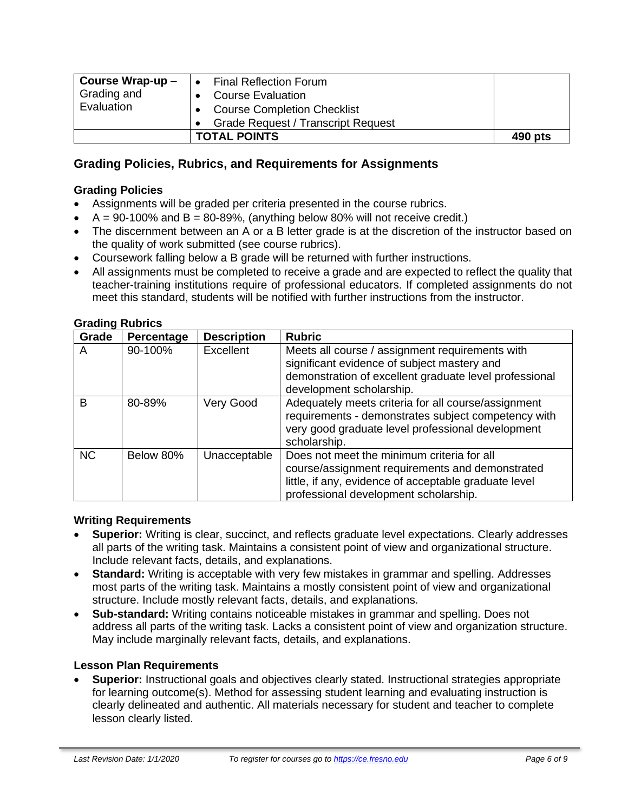| Course Wrap-up $-$<br>Grading and<br>Evaluation | <b>Final Reflection Forum</b><br><b>Course Evaluation</b><br><b>Course Completion Checklist</b> |         |
|-------------------------------------------------|-------------------------------------------------------------------------------------------------|---------|
|                                                 | <b>Grade Request / Transcript Request</b>                                                       |         |
|                                                 | <b>TOTAL POINTS</b>                                                                             | 490 pts |

# **Grading Policies, Rubrics, and Requirements for Assignments**

#### **Grading Policies**

- Assignments will be graded per criteria presented in the course rubrics.
- $A = 90-100\%$  and  $B = 80-89\%$ , (anything below 80% will not receive credit.)
- The discernment between an A or a B letter grade is at the discretion of the instructor based on the quality of work submitted (see course rubrics).
- Coursework falling below a B grade will be returned with further instructions.
- All assignments must be completed to receive a grade and are expected to reflect the quality that teacher-training institutions require of professional educators. If completed assignments do not meet this standard, students will be notified with further instructions from the instructor.

| Grade     | Percentage | <b>Description</b> | <b>Rubric</b>                                                                                                                                                                                   |
|-----------|------------|--------------------|-------------------------------------------------------------------------------------------------------------------------------------------------------------------------------------------------|
| A         | 90-100%    | Excellent          | Meets all course / assignment requirements with<br>significant evidence of subject mastery and<br>demonstration of excellent graduate level professional<br>development scholarship.            |
| B         | 80-89%     | Very Good          | Adequately meets criteria for all course/assignment<br>requirements - demonstrates subject competency with<br>very good graduate level professional development<br>scholarship.                 |
| <b>NC</b> | Below 80%  | Unacceptable       | Does not meet the minimum criteria for all<br>course/assignment requirements and demonstrated<br>little, if any, evidence of acceptable graduate level<br>professional development scholarship. |

#### **Grading Rubrics**

#### **Writing Requirements**

- **Superior:** Writing is clear, succinct, and reflects graduate level expectations. Clearly addresses all parts of the writing task. Maintains a consistent point of view and organizational structure. Include relevant facts, details, and explanations.
- **Standard:** Writing is acceptable with very few mistakes in grammar and spelling. Addresses most parts of the writing task. Maintains a mostly consistent point of view and organizational structure. Include mostly relevant facts, details, and explanations.
- **Sub-standard:** Writing contains noticeable mistakes in grammar and spelling. Does not address all parts of the writing task. Lacks a consistent point of view and organization structure. May include marginally relevant facts, details, and explanations.

#### **Lesson Plan Requirements**

• **Superior:** Instructional goals and objectives clearly stated. Instructional strategies appropriate for learning outcome(s). Method for assessing student learning and evaluating instruction is clearly delineated and authentic. All materials necessary for student and teacher to complete lesson clearly listed.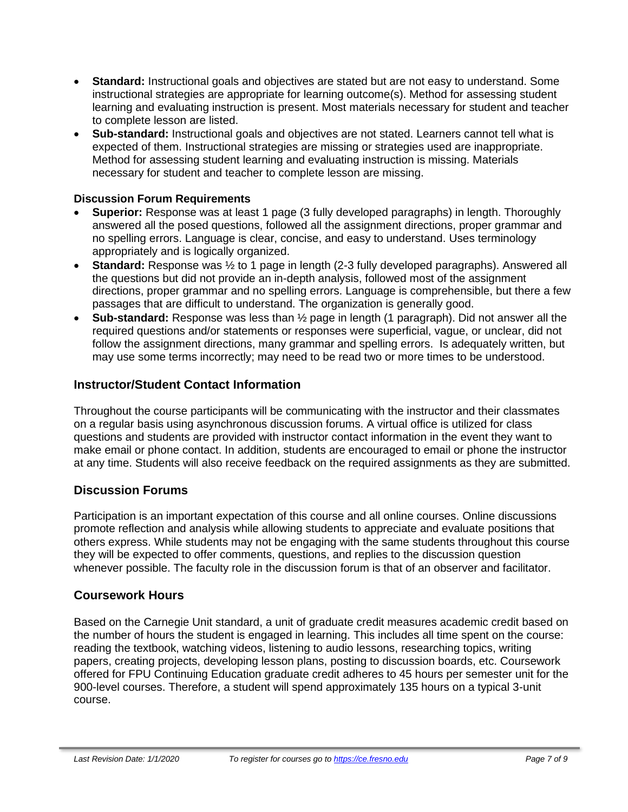- **Standard:** Instructional goals and objectives are stated but are not easy to understand. Some instructional strategies are appropriate for learning outcome(s). Method for assessing student learning and evaluating instruction is present. Most materials necessary for student and teacher to complete lesson are listed.
- **Sub-standard:** Instructional goals and objectives are not stated. Learners cannot tell what is expected of them. Instructional strategies are missing or strategies used are inappropriate. Method for assessing student learning and evaluating instruction is missing. Materials necessary for student and teacher to complete lesson are missing.

#### **Discussion Forum Requirements**

- **Superior:** Response was at least 1 page (3 fully developed paragraphs) in length. Thoroughly answered all the posed questions, followed all the assignment directions, proper grammar and no spelling errors. Language is clear, concise, and easy to understand. Uses terminology appropriately and is logically organized.
- **Standard:** Response was ½ to 1 page in length (2-3 fully developed paragraphs). Answered all the questions but did not provide an in-depth analysis, followed most of the assignment directions, proper grammar and no spelling errors. Language is comprehensible, but there a few passages that are difficult to understand. The organization is generally good.
- **Sub-standard:** Response was less than ½ page in length (1 paragraph). Did not answer all the required questions and/or statements or responses were superficial, vague, or unclear, did not follow the assignment directions, many grammar and spelling errors. Is adequately written, but may use some terms incorrectly; may need to be read two or more times to be understood.

# **Instructor/Student Contact Information**

Throughout the course participants will be communicating with the instructor and their classmates on a regular basis using asynchronous discussion forums. A virtual office is utilized for class questions and students are provided with instructor contact information in the event they want to make email or phone contact. In addition, students are encouraged to email or phone the instructor at any time. Students will also receive feedback on the required assignments as they are submitted.

# **Discussion Forums**

Participation is an important expectation of this course and all online courses. Online discussions promote reflection and analysis while allowing students to appreciate and evaluate positions that others express. While students may not be engaging with the same students throughout this course they will be expected to offer comments, questions, and replies to the discussion question whenever possible. The faculty role in the discussion forum is that of an observer and facilitator.

# **Coursework Hours**

Based on the Carnegie Unit standard, a unit of graduate credit measures academic credit based on the number of hours the student is engaged in learning. This includes all time spent on the course: reading the textbook, watching videos, listening to audio lessons, researching topics, writing papers, creating projects, developing lesson plans, posting to discussion boards, etc. Coursework offered for FPU Continuing Education graduate credit adheres to 45 hours per semester unit for the 900-level courses. Therefore, a student will spend approximately 135 hours on a typical 3-unit course.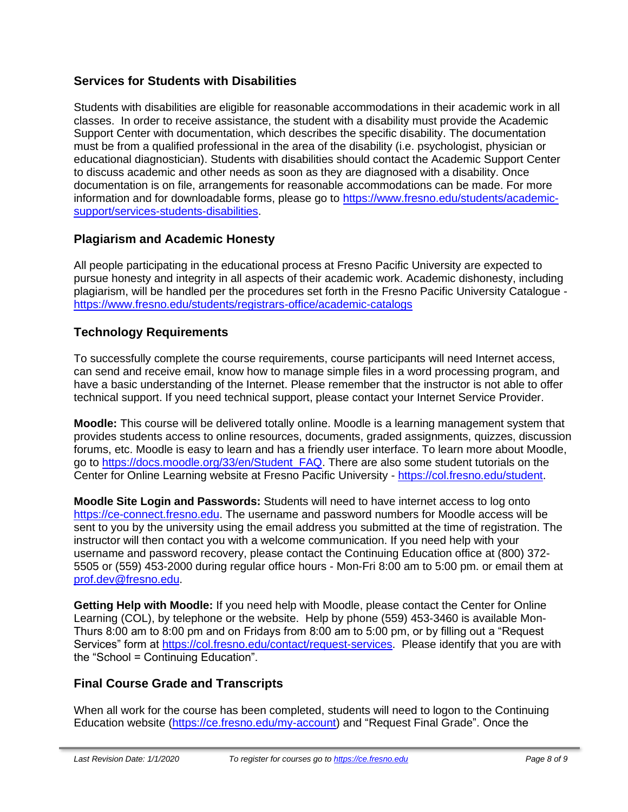# **Services for Students with Disabilities**

Students with disabilities are eligible for reasonable accommodations in their academic work in all classes. In order to receive assistance, the student with a disability must provide the Academic Support Center with documentation, which describes the specific disability. The documentation must be from a qualified professional in the area of the disability (i.e. psychologist, physician or educational diagnostician). Students with disabilities should contact the Academic Support Center to discuss academic and other needs as soon as they are diagnosed with a disability. Once documentation is on file, arrangements for reasonable accommodations can be made. For more information and for downloadable forms, please go to [https://www.fresno.edu/students/academic](https://www.fresno.edu/students/academic-support/services-students-disabilities)[support/services-students-disabilities.](https://www.fresno.edu/students/academic-support/services-students-disabilities)

# **Plagiarism and Academic Honesty**

All people participating in the educational process at Fresno Pacific University are expected to pursue honesty and integrity in all aspects of their academic work. Academic dishonesty, including plagiarism, will be handled per the procedures set forth in the Fresno Pacific University Catalogue <https://www.fresno.edu/students/registrars-office/academic-catalogs>

# **Technology Requirements**

To successfully complete the course requirements, course participants will need Internet access, can send and receive email, know how to manage simple files in a word processing program, and have a basic understanding of the Internet. Please remember that the instructor is not able to offer technical support. If you need technical support, please contact your Internet Service Provider.

**Moodle:** This course will be delivered totally online. Moodle is a learning management system that provides students access to online resources, documents, graded assignments, quizzes, discussion forums, etc. Moodle is easy to learn and has a friendly user interface. To learn more about Moodle, go to [https://docs.moodle.org/33/en/Student\\_FAQ.](https://docs.moodle.org/33/en/Student_FAQ) There are also some student tutorials on the Center for Online Learning website at Fresno Pacific University - [https://col.fresno.edu/student.](https://col.fresno.edu/student)

**Moodle Site Login and Passwords:** Students will need to have internet access to log onto [https://ce-connect.fresno.edu.](https://ce-connect.fresno.edu/) The username and password numbers for Moodle access will be sent to you by the university using the email address you submitted at the time of registration. The instructor will then contact you with a welcome communication. If you need help with your username and password recovery, please contact the Continuing Education office at (800) 372- 5505 or (559) 453-2000 during regular office hours - Mon-Fri 8:00 am to 5:00 pm. or email them at [prof.dev@fresno.edu.](mailto:prof.dev@fresno.edu)

**Getting Help with Moodle:** If you need help with Moodle, please contact the Center for Online Learning (COL), by telephone or the website. Help by phone (559) 453-3460 is available Mon-Thurs 8:00 am to 8:00 pm and on Fridays from 8:00 am to 5:00 pm, or by filling out a "Request Services" form at [https://col.fresno.edu/contact/request-services.](https://col.fresno.edu/contact/request-services) Please identify that you are with the "School = Continuing Education".

# **Final Course Grade and Transcripts**

When all work for the course has been completed, students will need to logon to the Continuing Education website [\(https://ce.fresno.edu/my-account\)](https://ce.fresno.edu/my-account) and "Request Final Grade". Once the